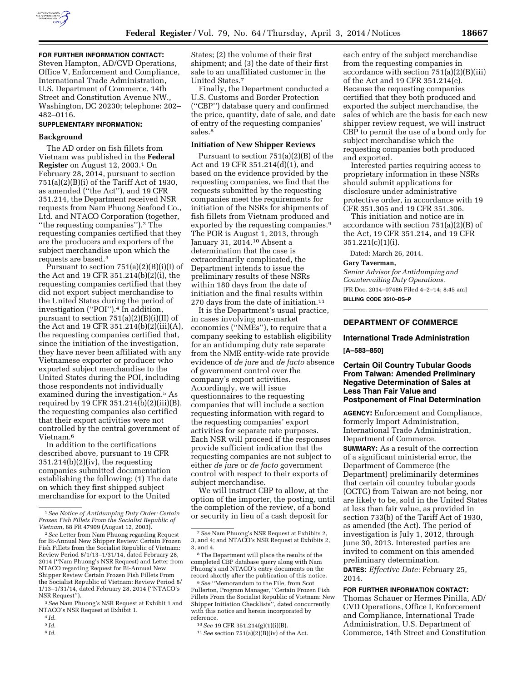

# **FOR FURTHER INFORMATION CONTACT:**

Steven Hampton, AD/CVD Operations, Office V, Enforcement and Compliance, International Trade Administration, U.S. Department of Commerce, 14th Street and Constitution Avenue NW., Washington, DC 20230; telephone: 202– 482–0116.

# **SUPPLEMENTARY INFORMATION:**

## **Background**

The AD order on fish fillets from Vietnam was published in the **Federal Register** on August 12, 2003.1 On February 28, 2014, pursuant to section  $751(a)(2)(B)(i)$  of the Tariff Act of 1930, as amended (''the Act''), and 19 CFR 351.214, the Department received NSR requests from Nam Phuong Seafood Co., Ltd. and NTACO Corporation (together, ''the requesting companies'').2 The requesting companies certified that they are the producers and exporters of the subject merchandise upon which the requests are based.3

Pursuant to section 751(a)(2)(B)(i)(I) of the Act and 19 CFR 351.214(b)(2)(i), the requesting companies certified that they did not export subject merchandise to the United States during the period of investigation (''POI'').4 In addition, pursuant to section 751(a)(2)(B)(i)(II) of the Act and 19 CFR 351.214(b)(2)(iii)(A), the requesting companies certified that, since the initiation of the investigation, they have never been affiliated with any Vietnamese exporter or producer who exported subject merchandise to the United States during the POI, including those respondents not individually examined during the investigation.5 As required by 19 CFR 351.214(b)(2)(iii)(B), the requesting companies also certified that their export activities were not controlled by the central government of Vietnam.6

In addition to the certifications described above, pursuant to 19 CFR  $351.214(b)(2)(iv)$ , the requesting companies submitted documentation establishing the following: (1) The date on which they first shipped subject merchandise for export to the United

States; (2) the volume of their first shipment; and (3) the date of their first sale to an unaffiliated customer in the United States.7

Finally, the Department conducted a U.S. Customs and Border Protection (''CBP'') database query and confirmed the price, quantity, date of sale, and date of entry of the requesting companies' sales.<sup>8</sup>

#### **Initiation of New Shipper Reviews**

Pursuant to section 751(a)(2)(B) of the Act and 19 CFR 351.214(d)(1), and based on the evidence provided by the requesting companies, we find that the requests submitted by the requesting companies meet the requirements for initiation of the NSRs for shipments of fish fillets from Vietnam produced and exported by the requesting companies.9 The POR is August 1, 2013, through January 31, 2014.10 Absent a determination that the case is extraordinarily complicated, the Department intends to issue the preliminary results of these NSRs within 180 days from the date of initiation and the final results within 270 days from the date of initiation.11

It is the Department's usual practice, in cases involving non-market economies (''NMEs''), to require that a company seeking to establish eligibility for an antidumping duty rate separate from the NME entity-wide rate provide evidence of *de jure* and *de facto* absence of government control over the company's export activities. Accordingly, we will issue questionnaires to the requesting companies that will include a section requesting information with regard to the requesting companies' export activities for separate rate purposes. Each NSR will proceed if the responses provide sufficient indication that the requesting companies are not subject to either *de jure* or *de facto* government control with respect to their exports of subject merchandise.

We will instruct CBP to allow, at the option of the importer, the posting, until the completion of the review, of a bond or security in lieu of a cash deposit for

each entry of the subject merchandise from the requesting companies in accordance with section 751(a)(2)(B)(iii) of the Act and 19 CFR 351.214(e). Because the requesting companies certified that they both produced and exported the subject merchandise, the sales of which are the basis for each new shipper review request, we will instruct CBP to permit the use of a bond only for subject merchandise which the requesting companies both produced and exported.

Interested parties requiring access to proprietary information in these NSRs should submit applications for disclosure under administrative protective order, in accordance with 19 CFR 351.305 and 19 CFR 351.306.

This initiation and notice are in accordance with section 751(a)(2)(B) of the Act, 19 CFR 351.214, and 19 CFR  $351.221(c)(1)(i)$ .

Dated: March 26, 2014.

#### **Gary Taverman,**

*Senior Advisor for Antidumping and Countervailing Duty Operations.*  [FR Doc. 2014–07486 Filed 4–2–14; 8:45 am] **BILLING CODE 3510–DS–P** 

# **DEPARTMENT OF COMMERCE**

## **International Trade Administration**

**[A–583–850]** 

# **Certain Oil Country Tubular Goods From Taiwan: Amended Preliminary Negative Determination of Sales at Less Than Fair Value and Postponement of Final Determination**

**AGENCY:** Enforcement and Compliance, formerly Import Administration, International Trade Administration, Department of Commerce. **SUMMARY:** As a result of the correction of a significant ministerial error, the Department of Commerce (the Department) preliminarily determines that certain oil country tubular goods (OCTG) from Taiwan are not being, nor are likely to be, sold in the United States at less than fair value, as provided in section 733(b) of the Tariff Act of 1930, as amended (the Act). The period of investigation is July 1, 2012, through June 30, 2013. Interested parties are invited to comment on this amended preliminary determination.

**DATES:** *Effective Date:* February 25, 2014.

**FOR FURTHER INFORMATION CONTACT:**  Thomas Schauer or Hermes Pinilla, AD/ CVD Operations, Office I, Enforcement and Compliance, International Trade Administration, U.S. Department of

Commerce, 14th Street and Constitution

<sup>1</sup>*See Notice of Antidumping Duty Order: Certain Frozen Fish Fillets From the Socialist Republic of Vietnam,* 68 FR 47909 (August 12, 2003).

<sup>2</sup>*See* Letter from Nam Phuong regarding Request for Bi-Annual New Shipper Review: Certain Frozen Fish Fillets from the Socialist Republic of Vietnam: Review Period 8/1/13–1/31/14, dated February 28, 2014 (''Nam Phuong's NSR Request) and Letter from NTACO regarding Request for Bi-Annual New Shipper Review Certain Frozen Fish Fillets From the Socialist Republic of Vietnam: Review Period 8/ 1/13–1/31/14, dated February 28, 2014 (''NTACO's NSR Request'').

<sup>3</sup>*See* Nam Phuong's NSR Request at Exhibit 1 and NTACO's NSR Request at Exhibit 1.

<sup>4</sup> *Id.* 

<sup>5</sup> *Id.* 

<sup>6</sup> *Id.* 

<sup>7</sup>*See* Nam Phuong's NSR Request at Exhibits 2, 3, and 4; and NTACO's NSR Request at Exhibits 2, 3, and 4.

<sup>8</sup>The Department will place the results of the completed CBP database query along with Nam Phuong's and NTACO's entry documents on the record shortly after the publication of this notice.

<sup>9</sup>*See* ''Memorandum to the File, from Scot Fullerton, Program Manager, ''Certain Frozen Fish Fillets From the Socialist Republic of Vietnam: New Shipper Initiation Checklists'', dated concurrently with this notice and herein incorporated by reference.

<sup>10</sup>*See* 19 CFR 351.214(g)(1)(i)(B).

<sup>11</sup>*See* section 751(a)(2)(B)(iv) of the Act.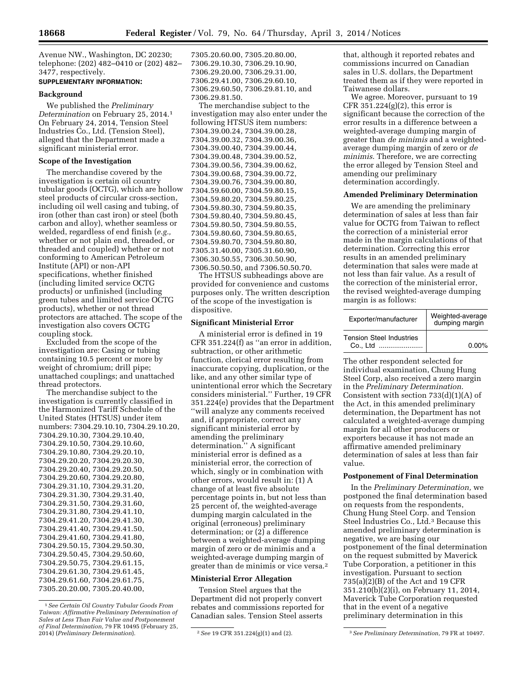Avenue NW., Washington, DC 20230; telephone: (202) 482–0410 or (202) 482– 3477, respectively.

# **SUPPLEMENTARY INFORMATION:**

#### **Background**

We published the *Preliminary Determination* on February 25, 2014.1 On February 24, 2014, Tension Steel Industries Co., Ltd. (Tension Steel), alleged that the Department made a significant ministerial error.

# **Scope of the Investigation**

The merchandise covered by the investigation is certain oil country tubular goods (OCTG), which are hollow steel products of circular cross-section, including oil well casing and tubing, of iron (other than cast iron) or steel (both carbon and alloy), whether seamless or welded, regardless of end finish (*e.g.,*  whether or not plain end, threaded, or threaded and coupled) whether or not conforming to American Petroleum Institute (API) or non-API specifications, whether finished (including limited service OCTG products) or unfinished (including green tubes and limited service OCTG products), whether or not thread protectors are attached. The scope of the investigation also covers OCTG coupling stock.

Excluded from the scope of the investigation are: Casing or tubing containing 10.5 percent or more by weight of chromium; drill pipe; unattached couplings; and unattached thread protectors.

The merchandise subject to the investigation is currently classified in the Harmonized Tariff Schedule of the United States (HTSUS) under item numbers: 7304.29.10.10, 7304.29.10.20, 7304.29.10.30, 7304.29.10.40, 7304.29.10.50, 7304.29.10.60, 7304.29.10.80, 7304.29.20.10, 7304.29.20.20, 7304.29.20.30, 7304.29.20.40, 7304.29.20.50, 7304.29.20.60, 7304.29.20.80, 7304.29.31.10, 7304.29.31.20, 7304.29.31.30, 7304.29.31.40, 7304.29.31.50, 7304.29.31.60, 7304.29.31.80, 7304.29.41.10, 7304.29.41.20, 7304.29.41.30, 7304.29.41.40, 7304.29.41.50, 7304.29.41.60, 7304.29.41.80, 7304.29.50.15, 7304.29.50.30, 7304.29.50.45, 7304.29.50.60, 7304.29.50.75, 7304.29.61.15, 7304.29.61.30, 7304.29.61.45, 7304.29.61.60, 7304.29.61.75, 7305.20.20.00, 7305.20.40.00,

7305.20.60.00, 7305.20.80.00, 7306.29.10.30, 7306.29.10.90, 7306.29.20.00, 7306.29.31.00, 7306.29.41.00, 7306.29.60.10, 7306.29.60.50, 7306.29.81.10, and 7306.29.81.50. The merchandise subject to the

investigation may also enter under the following HTSUS item numbers: 7304.39.00.24, 7304.39.00.28, 7304.39.00.32, 7304.39.00.36, 7304.39.00.40, 7304.39.00.44, 7304.39.00.48, 7304.39.00.52, 7304.39.00.56, 7304.39.00.62, 7304.39.00.68, 7304.39.00.72, 7304.39.00.76, 7304.39.00.80, 7304.59.60.00, 7304.59.80.15, 7304.59.80.20, 7304.59.80.25, 7304.59.80.30, 7304.59.80.35, 7304.59.80.40, 7304.59.80.45, 7304.59.80.50, 7304.59.80.55, 7304.59.80.60, 7304.59.80.65, 7304.59.80.70, 7304.59.80.80, 7305.31.40.00, 7305.31.60.90, 7306.30.50.55, 7306.30.50.90, 7306.50.50.50, and 7306.50.50.70.

The HTSUS subheadings above are provided for convenience and customs purposes only. The written description of the scope of the investigation is dispositive.

#### **Significant Ministerial Error**

A ministerial error is defined in 19 CFR 351.224(f) as ''an error in addition, subtraction, or other arithmetic function, clerical error resulting from inaccurate copying, duplication, or the like, and any other similar type of unintentional error which the Secretary considers ministerial.'' Further, 19 CFR 351.224(e) provides that the Department ''will analyze any comments received and, if appropriate, correct any significant ministerial error by amending the preliminary determination.'' A significant ministerial error is defined as a ministerial error, the correction of which, singly or in combination with other errors, would result in: (1) A change of at least five absolute percentage points in, but not less than 25 percent of, the weighted-average dumping margin calculated in the original (erroneous) preliminary determination; or (2) a difference between a weighted-average dumping margin of zero or de minimis and a weighted-average dumping margin of greater than de minimis or vice versa.2

## **Ministerial Error Allegation**

Tension Steel argues that the Department did not properly convert rebates and commissions reported for Canadian sales. Tension Steel asserts

that, although it reported rebates and commissions incurred on Canadian sales in U.S. dollars, the Department treated them as if they were reported in Taiwanese dollars.

We agree. Moreover, pursuant to 19 CFR 351.224(g)(2), this error is significant because the correction of the error results in a difference between a weighted-average dumping margin of greater than *de minimis* and a weightedaverage dumping margin of zero or *de minimis*. Therefore, we are correcting the error alleged by Tension Steel and amending our preliminary determination accordingly.

#### **Amended Preliminary Determination**

We are amending the preliminary determination of sales at less than fair value for OCTG from Taiwan to reflect the correction of a ministerial error made in the margin calculations of that determination. Correcting this error results in an amended preliminary determination that sales were made at not less than fair value. As a result of the correction of the ministerial error, the revised weighted-average dumping margin is as follows:

| Exporter/manufacturer                       | Weighted-average<br>dumping margin |
|---------------------------------------------|------------------------------------|
| <b>Tension Steel Industries</b><br>Co., Ltd | $0.00\%$                           |

The other respondent selected for individual examination, Chung Hung Steel Corp, also received a zero margin in the *Preliminary Determination*. Consistent with section  $733(d)(1)(A)$  of the Act, in this amended preliminary determination, the Department has not calculated a weighted-average dumping margin for all other producers or exporters because it has not made an affirmative amended preliminary determination of sales at less than fair value.

#### **Postponement of Final Determination**

In the *Preliminary Determination,* we postponed the final determination based on requests from the respondents, Chung Hung Steel Corp. and Tension Steel Industries Co., Ltd.<sup>3</sup> Because this amended preliminary determination is negative, we are basing our postponement of the final determination on the request submitted by Maverick Tube Corporation, a petitioner in this investigation. Pursuant to section 735(a)(2)(B) of the Act and 19 CFR 351.210(b)(2)(i), on February 11, 2014, Maverick Tube Corporation requested that in the event of a negative preliminary determination in this

<sup>1</sup>*See Certain Oil Country Tubular Goods From Taiwan: Affirmative Preliminary Determination of Sales at Less Than Fair Value and Postponement of Final Determination,* 79 FR 10495 (February 25,

<sup>2014) (</sup>*Preliminary Determination*). 2*See* 19 CFR 351.224(g)(1) and (2). 3*See Preliminary Determination,* 79 FR at 10497.